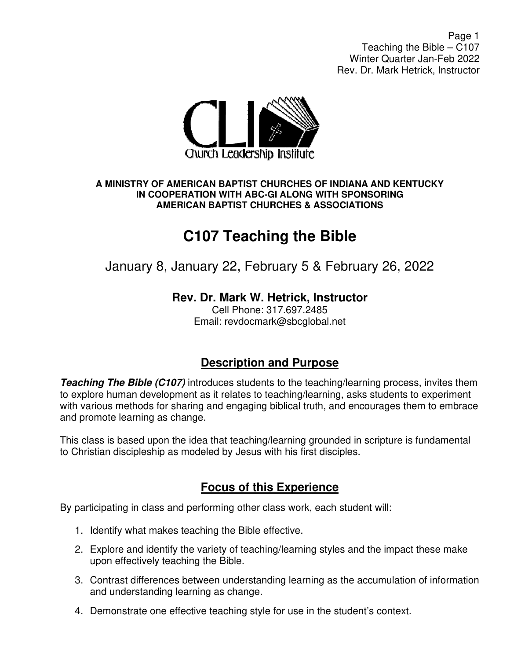Page 1 Teaching the Bible – C107 Winter Quarter Jan-Feb 2022 Rev. Dr. Mark Hetrick, Instructor



#### **A MINISTRY OF AMERICAN BAPTIST CHURCHES OF INDIANA AND KENTUCKY IN COOPERATION WITH ABC-GI ALONG WITH SPONSORING AMERICAN BAPTIST CHURCHES & ASSOCIATIONS**

# **C107 Teaching the Bible**

## January 8, January 22, February 5 & February 26, 2022

### **Rev. Dr. Mark W. Hetrick, Instructor**

Cell Phone: 317.697.2485 Email: revdocmark@sbcglobal.net

#### **Description and Purpose**

**Teaching The Bible (C107)** introduces students to the teaching/learning process, invites them to explore human development as it relates to teaching/learning, asks students to experiment with various methods for sharing and engaging biblical truth, and encourages them to embrace and promote learning as change.

This class is based upon the idea that teaching/learning grounded in scripture is fundamental to Christian discipleship as modeled by Jesus with his first disciples.

### **Focus of this Experience**

By participating in class and performing other class work, each student will:

- 1. Identify what makes teaching the Bible effective.
- 2. Explore and identify the variety of teaching/learning styles and the impact these make upon effectively teaching the Bible.
- 3. Contrast differences between understanding learning as the accumulation of information and understanding learning as change.
- 4. Demonstrate one effective teaching style for use in the student's context.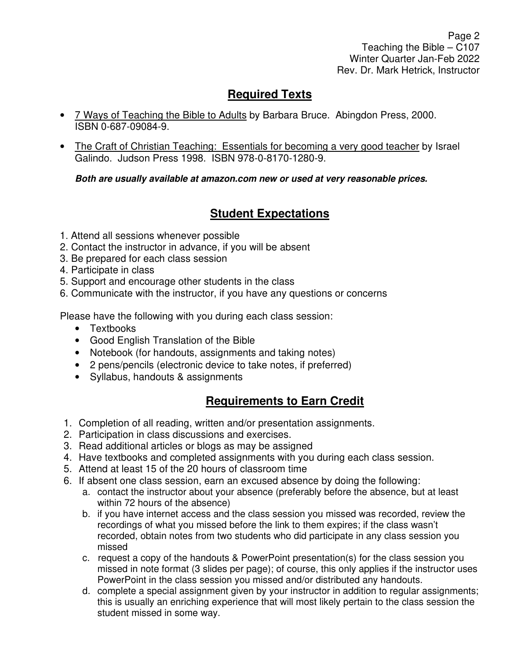Page 2 Teaching the Bible – C107 Winter Quarter Jan-Feb 2022 Rev. Dr. Mark Hetrick, Instructor

### **Required Texts**

- 7 Ways of Teaching the Bible to Adults by Barbara Bruce. Abingdon Press, 2000. ISBN 0-687-09084-9.
- The Craft of Christian Teaching: Essentials for becoming a very good teacher by Israel Galindo. Judson Press 1998. ISBN 978-0-8170-1280-9.

**Both are usually available at amazon.com new or used at very reasonable prices.** 

### **Student Expectations**

- 1. Attend all sessions whenever possible
- 2. Contact the instructor in advance, if you will be absent
- 3. Be prepared for each class session
- 4. Participate in class
- 5. Support and encourage other students in the class
- 6. Communicate with the instructor, if you have any questions or concerns

Please have the following with you during each class session:

- Textbooks
- Good English Translation of the Bible
- Notebook (for handouts, assignments and taking notes)
- 2 pens/pencils (electronic device to take notes, if preferred)
- Syllabus, handouts & assignments

### **Requirements to Earn Credit**

- 1. Completion of all reading, written and/or presentation assignments.
- 2. Participation in class discussions and exercises.
- 3. Read additional articles or blogs as may be assigned
- 4. Have textbooks and completed assignments with you during each class session.
- 5. Attend at least 15 of the 20 hours of classroom time
- 6. If absent one class session, earn an excused absence by doing the following:
	- a. contact the instructor about your absence (preferably before the absence, but at least within 72 hours of the absence)
	- b. if you have internet access and the class session you missed was recorded, review the recordings of what you missed before the link to them expires; if the class wasn't recorded, obtain notes from two students who did participate in any class session you missed
	- c. request a copy of the handouts & PowerPoint presentation(s) for the class session you missed in note format (3 slides per page); of course, this only applies if the instructor uses PowerPoint in the class session you missed and/or distributed any handouts.
	- d. complete a special assignment given by your instructor in addition to regular assignments; this is usually an enriching experience that will most likely pertain to the class session the student missed in some way.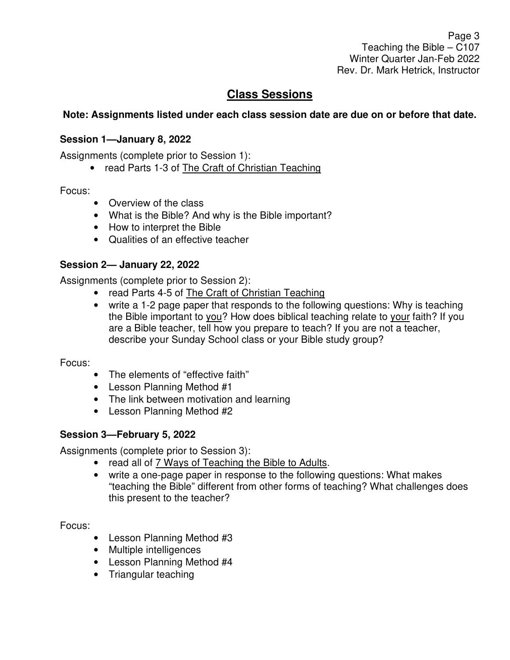Page 3 Teaching the Bible – C107 Winter Quarter Jan-Feb 2022 Rev. Dr. Mark Hetrick, Instructor

### **Class Sessions**

#### **Note: Assignments listed under each class session date are due on or before that date.**

#### **Session 1—January 8, 2022**

Assignments (complete prior to Session 1):

• read Parts 1-3 of The Craft of Christian Teaching

Focus:

- Overview of the class
- What is the Bible? And why is the Bible important?
- How to interpret the Bible
- Qualities of an effective teacher

#### **Session 2— January 22, 2022**

Assignments (complete prior to Session 2):

- read Parts 4-5 of The Craft of Christian Teaching
- write a 1-2 page paper that responds to the following questions: Why is teaching the Bible important to you? How does biblical teaching relate to your faith? If you are a Bible teacher, tell how you prepare to teach? If you are not a teacher, describe your Sunday School class or your Bible study group?

Focus:

- The elements of "effective faith"
- Lesson Planning Method #1
- The link between motivation and learning
- Lesson Planning Method #2

#### **Session 3—February 5, 2022**

Assignments (complete prior to Session 3):

- read all of 7 Ways of Teaching the Bible to Adults.
- write a one-page paper in response to the following questions: What makes "teaching the Bible" different from other forms of teaching? What challenges does this present to the teacher?

Focus:

- Lesson Planning Method #3
- Multiple intelligences
- Lesson Planning Method #4
- Triangular teaching